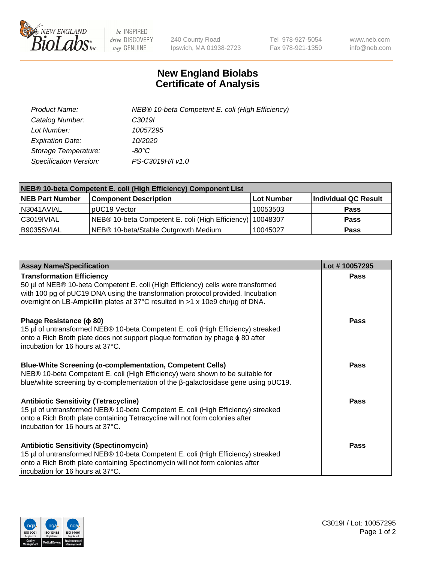

 $be$  INSPIRED drive DISCOVERY stay GENUINE

240 County Road Ipswich, MA 01938-2723 Tel 978-927-5054 Fax 978-921-1350 www.neb.com info@neb.com

## **New England Biolabs Certificate of Analysis**

| Product Name:           | NEB® 10-beta Competent E. coli (High Efficiency) |
|-------------------------|--------------------------------------------------|
| Catalog Number:         | C <sub>3019</sub>                                |
| Lot Number:             | 10057295                                         |
| <b>Expiration Date:</b> | 10/2020                                          |
| Storage Temperature:    | -80°C                                            |
| Specification Version:  | PS-C3019H/I v1.0                                 |

| NEB® 10-beta Competent E. coli (High Efficiency) Component List |                                                             |            |                      |  |
|-----------------------------------------------------------------|-------------------------------------------------------------|------------|----------------------|--|
| <b>NEB Part Number</b>                                          | <b>Component Description</b>                                | Lot Number | Individual QC Result |  |
| N3041AVIAL                                                      | pUC19 Vector                                                | 10053503   | <b>Pass</b>          |  |
| C3019IVIAL                                                      | NEB® 10-beta Competent E. coli (High Efficiency)   10048307 |            | <b>Pass</b>          |  |
| B9035SVIAL                                                      | NEB <sup>®</sup> 10-beta/Stable Outgrowth Medium            | 10045027   | <b>Pass</b>          |  |

| <b>Assay Name/Specification</b>                                                                                                                                                                                                                                                           | Lot #10057295 |
|-------------------------------------------------------------------------------------------------------------------------------------------------------------------------------------------------------------------------------------------------------------------------------------------|---------------|
| <b>Transformation Efficiency</b><br>50 µl of NEB® 10-beta Competent E. coli (High Efficiency) cells were transformed<br>with 100 pg of pUC19 DNA using the transformation protocol provided. Incubation<br>overnight on LB-Ampicillin plates at 37°C resulted in >1 x 10e9 cfu/µg of DNA. | <b>Pass</b>   |
| Phage Resistance ( $\phi$ 80)<br>15 µl of untransformed NEB® 10-beta Competent E. coli (High Efficiency) streaked<br>onto a Rich Broth plate does not support plaque formation by phage φ 80 after<br>l incubation for 16 hours at 37°C.                                                  | Pass          |
| <b>Blue-White Screening (α-complementation, Competent Cells)</b><br>NEB® 10-beta Competent E. coli (High Efficiency) were shown to be suitable for<br>blue/white screening by $\alpha$ -complementation of the $\beta$ -galactosidase gene using pUC19.                                   | Pass          |
| <b>Antibiotic Sensitivity (Tetracycline)</b><br>15 µl of untransformed NEB® 10-beta Competent E. coli (High Efficiency) streaked<br>onto a Rich Broth plate containing Tetracycline will not form colonies after<br>incubation for 16 hours at 37°C.                                      | Pass          |
| <b>Antibiotic Sensitivity (Spectinomycin)</b><br>15 µl of untransformed NEB® 10-beta Competent E. coli (High Efficiency) streaked<br>onto a Rich Broth plate containing Spectinomycin will not form colonies after<br>incubation for 16 hours at 37°C.                                    | Pass          |